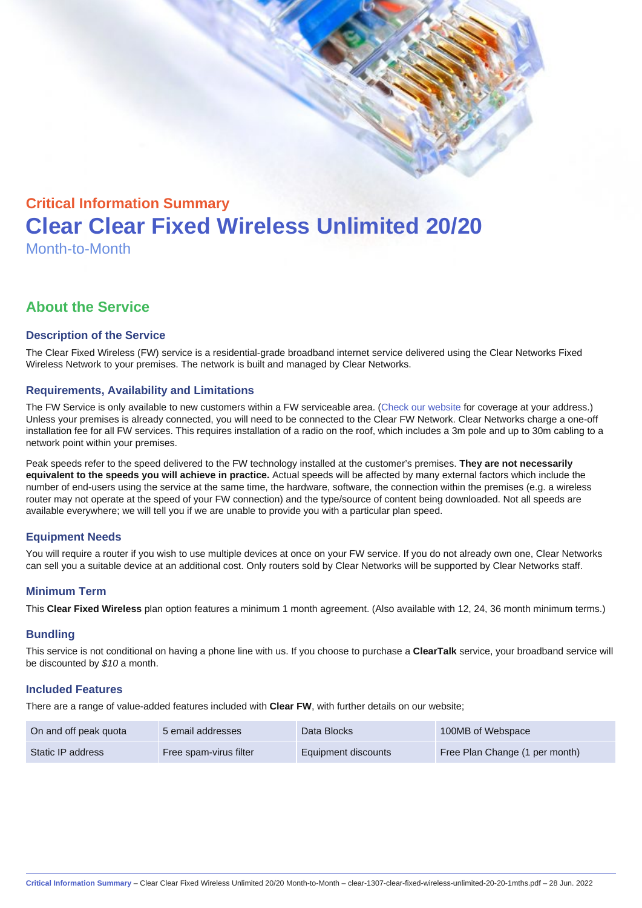# Critical Information Summary Clear Clear Fixed Wireless Unlimited 20/20 Month-to-Month

# About the Service

## Description of the Service

The Clear Fixed Wireless (FW) service is a residential-grade broadband internet service delivered using the Clear Networks Fixed Wireless Network to your premises. The network is built and managed by Clear Networks.

## Requirements, Availability and Limitations

The FW Service is only available to new customers within a FW serviceable area. ([Check our website](https://www.clear.com.au/business/fixed-wireless/) for coverage at your address.) Unless your premises is already connected, you will need to be connected to the Clear FW Network. Clear Networks charge a one-off installation fee for all FW services. This requires installation of a radio on the roof, which includes a 3m pole and up to 30m cabling to a network point within your premises.

Peak speeds refer to the speed delivered to the FW technology installed at the customer's premises. They are not necessarily equivalent to the speeds you will achieve in practice. Actual speeds will be affected by many external factors which include the number of end-users using the service at the same time, the hardware, software, the connection within the premises (e.g. a wireless router may not operate at the speed of your FW connection) and the type/source of content being downloaded. Not all speeds are available everywhere; we will tell you if we are unable to provide you with a particular plan speed.

# Equipment Needs

You will require a router if you wish to use multiple devices at once on your FW service. If you do not already own one, Clear Networks can sell you a suitable device at an additional cost. Only routers sold by Clear Networks will be supported by Clear Networks staff.

#### Minimum Term

This Clear Fixed Wireless plan option features a minimum 1 month agreement. (Also available with 12, 24, 36 month minimum terms.)

#### **Bundling**

This service is not conditional on having a phone line with us. If you choose to purchase a ClearTalk service, your broadband service will be discounted by \$10 a month.

#### Included Features

There are a range of value-added features included with Clear FW, with further details on our website;

| On and off peak quota | 5 email addresses      | Data Blocks         | 100MB of Webspace              |
|-----------------------|------------------------|---------------------|--------------------------------|
| Static IP address     | Free spam-virus filter | Equipment discounts | Free Plan Change (1 per month) |